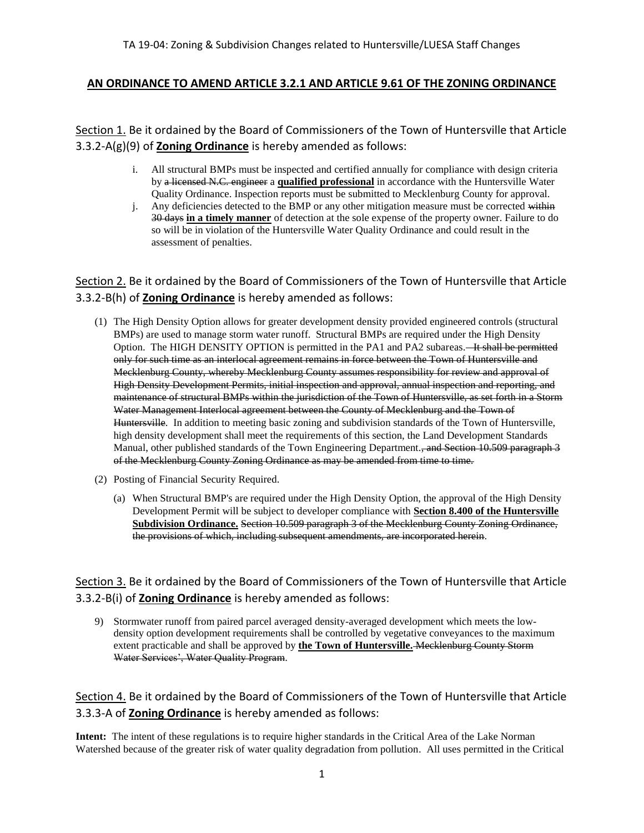### **AN ORDINANCE TO AMEND ARTICLE 3.2.1 AND ARTICLE 9.61 OF THE ZONING ORDINANCE**

Section 1. Be it ordained by the Board of Commissioners of the Town of Huntersville that Article 3.3.2-A(g)(9) of **Zoning Ordinance** is hereby amended as follows:

- i. All structural BMPs must be inspected and certified annually for compliance with design criteria by a licensed N.C. engineer a **qualified professional** in accordance with the Huntersville Water Quality Ordinance. Inspection reports must be submitted to Mecklenburg County for approval.
- j. Any deficiencies detected to the BMP or any other mitigation measure must be corrected within 30 days **in a timely manner** of detection at the sole expense of the property owner. Failure to do so will be in violation of the Huntersville Water Quality Ordinance and could result in the assessment of penalties.

Section 2. Be it ordained by the Board of Commissioners of the Town of Huntersville that Article 3.3.2-B(h) of **Zoning Ordinance** is hereby amended as follows:

- (1) The High Density Option allows for greater development density provided engineered controls (structural BMPs) are used to manage storm water runoff. Structural BMPs are required under the High Density Option. The HIGH DENSITY OPTION is permitted in the PA1 and PA2 subareas.—It shall be permitted only for such time as an interlocal agreement remains in force between the Town of Huntersville and Mecklenburg County, whereby Mecklenburg County assumes responsibility for review and approval of High Density Development Permits, initial inspection and approval, annual inspection and reporting, and maintenance of structural BMPs within the jurisdiction of the Town of Huntersville, as set forth in a Storm Water Management Interlocal agreement between the County of Mecklenburg and the Town of Huntersville. In addition to meeting basic zoning and subdivision standards of the Town of Huntersville, high density development shall meet the requirements of this section, the Land Development Standards Manual, other published standards of the Town Engineering Department., and Section 10.509 paragraph 3 of the Mecklenburg County Zoning Ordinance as may be amended from time to time.
- (2) Posting of Financial Security Required.
	- (a) When Structural BMP's are required under the High Density Option, the approval of the High Density Development Permit will be subject to developer compliance with **Section 8.400 of the Huntersville Subdivision Ordinance.** Section 10.509 paragraph 3 of the Mecklenburg County Zoning Ordinance, the provisions of which, including subsequent amendments, are incorporated herein.

Section 3. Be it ordained by the Board of Commissioners of the Town of Huntersville that Article 3.3.2-B(i) of **Zoning Ordinance** is hereby amended as follows:

9) Stormwater runoff from paired parcel averaged density-averaged development which meets the lowdensity option development requirements shall be controlled by vegetative conveyances to the maximum extent practicable and shall be approved by **the Town of Huntersville.** Mecklenburg County Storm Water Services', Water Quality Program.

Section 4. Be it ordained by the Board of Commissioners of the Town of Huntersville that Article 3.3.3-A of **Zoning Ordinance** is hereby amended as follows:

**Intent:** The intent of these regulations is to require higher standards in the Critical Area of the Lake Norman Watershed because of the greater risk of water quality degradation from pollution. All uses permitted in the Critical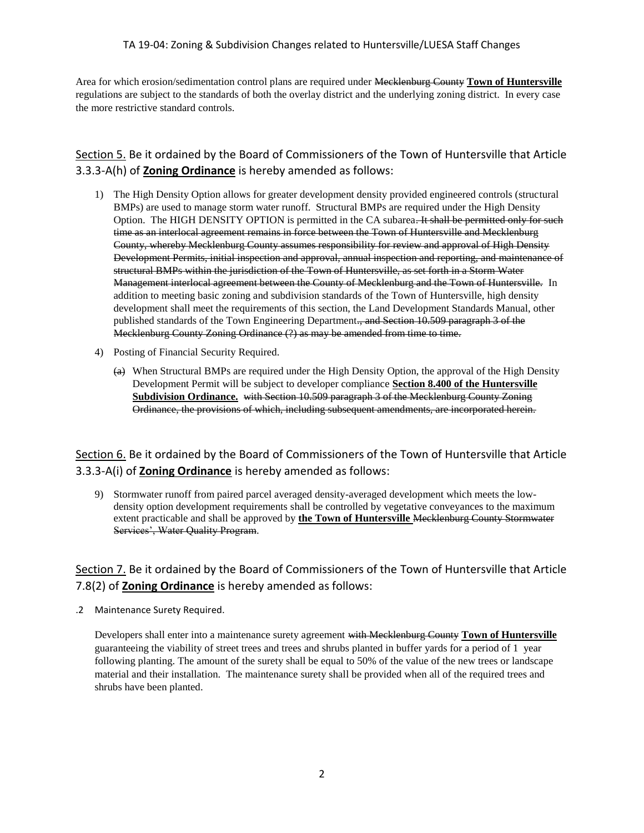#### TA 19-04: Zoning & Subdivision Changes related to Huntersville/LUESA Staff Changes

Area for which erosion/sedimentation control plans are required under Mecklenburg County **Town of Huntersville** regulations are subject to the standards of both the overlay district and the underlying zoning district. In every case the more restrictive standard controls.

## Section 5. Be it ordained by the Board of Commissioners of the Town of Huntersville that Article 3.3.3-A(h) of **Zoning Ordinance** is hereby amended as follows:

- 1) The High Density Option allows for greater development density provided engineered controls (structural BMPs) are used to manage storm water runoff. Structural BMPs are required under the High Density Option. The HIGH DENSITY OPTION is permitted in the CA subarea. It shall be permitted only for such time as an interlocal agreement remains in force between the Town of Huntersville and Mecklenburg County, whereby Mecklenburg County assumes responsibility for review and approval of High Density Development Permits, initial inspection and approval, annual inspection and reporting, and maintenance of structural BMPs within the jurisdiction of the Town of Huntersville, as set forth in a Storm Water Management interlocal agreement between the County of Mecklenburg and the Town of Huntersville. In addition to meeting basic zoning and subdivision standards of the Town of Huntersville, high density development shall meet the requirements of this section, the Land Development Standards Manual, other published standards of the Town Engineering Department., and Section 10.509 paragraph 3 of the Mecklenburg County Zoning Ordinance (?) as may be amended from time to time.
- 4) Posting of Financial Security Required.
	- $(a)$  When Structural BMPs are required under the High Density Option, the approval of the High Density Development Permit will be subject to developer compliance **Section 8.400 of the Huntersville Subdivision Ordinance.** with Section 10.509 paragraph 3 of the Mecklenburg County Zoning Ordinance, the provisions of which, including subsequent amendments, are incorporated herein.

Section 6. Be it ordained by the Board of Commissioners of the Town of Huntersville that Article 3.3.3-A(i) of **Zoning Ordinance** is hereby amended as follows:

9) Stormwater runoff from paired parcel averaged density-averaged development which meets the lowdensity option development requirements shall be controlled by vegetative conveyances to the maximum extent practicable and shall be approved by **the Town of Huntersville** Mecklenburg County Stormwater Services', Water Quality Program.

## Section 7. Be it ordained by the Board of Commissioners of the Town of Huntersville that Article 7.8(2) of **Zoning Ordinance** is hereby amended as follows:

.2 Maintenance Surety Required.

Developers shall enter into a maintenance surety agreement with Mecklenburg County **Town of Huntersville**  guaranteeing the viability of street trees and trees and shrubs planted in buffer yards for a period of 1 year following planting. The amount of the surety shall be equal to 50% of the value of the new trees or landscape material and their installation. The maintenance surety shall be provided when all of the required trees and shrubs have been planted.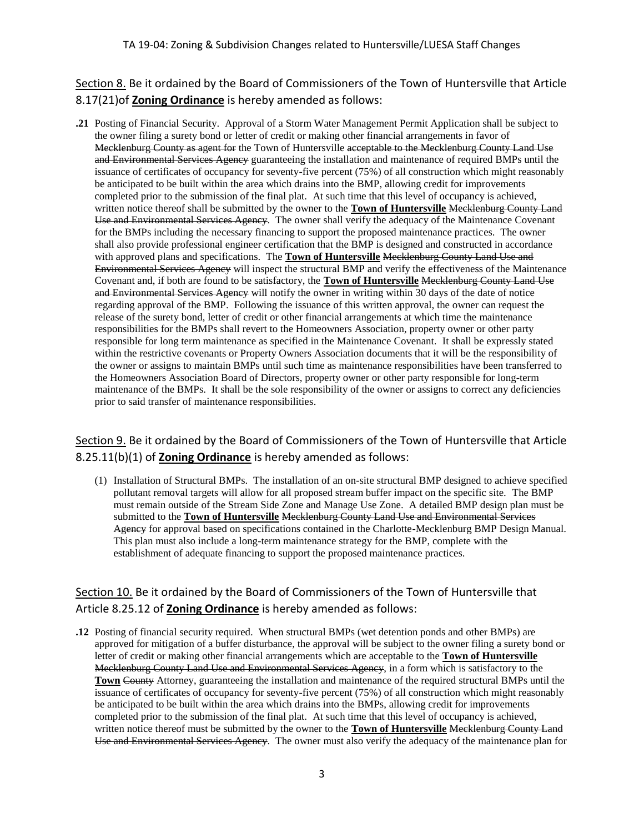Section 8. Be it ordained by the Board of Commissioners of the Town of Huntersville that Article 8.17(21)of **Zoning Ordinance** is hereby amended as follows:

**.21** Posting of Financial Security. Approval of a Storm Water Management Permit Application shall be subject to the owner filing a surety bond or letter of credit or making other financial arrangements in favor of Mecklenburg County as agent for the Town of Huntersville acceptable to the Mecklenburg County Land Use and Environmental Services Agency guaranteeing the installation and maintenance of required BMPs until the issuance of certificates of occupancy for seventy-five percent (75%) of all construction which might reasonably be anticipated to be built within the area which drains into the BMP, allowing credit for improvements completed prior to the submission of the final plat. At such time that this level of occupancy is achieved, written notice thereof shall be submitted by the owner to the **Town of Huntersville** Mecklenburg County Land Use and Environmental Services Agency. The owner shall verify the adequacy of the Maintenance Covenant for the BMPs including the necessary financing to support the proposed maintenance practices. The owner shall also provide professional engineer certification that the BMP is designed and constructed in accordance with approved plans and specifications. The **Town of Huntersville** Mecklenburg County Land Use and Environmental Services Agency will inspect the structural BMP and verify the effectiveness of the Maintenance Covenant and, if both are found to be satisfactory, the **Town of Huntersville** Mecklenburg County Land Use and Environmental Services Agency will notify the owner in writing within 30 days of the date of notice regarding approval of the BMP. Following the issuance of this written approval, the owner can request the release of the surety bond, letter of credit or other financial arrangements at which time the maintenance responsibilities for the BMPs shall revert to the Homeowners Association, property owner or other party responsible for long term maintenance as specified in the Maintenance Covenant. It shall be expressly stated within the restrictive covenants or Property Owners Association documents that it will be the responsibility of the owner or assigns to maintain BMPs until such time as maintenance responsibilities have been transferred to the Homeowners Association Board of Directors, property owner or other party responsible for long-term maintenance of the BMPs. It shall be the sole responsibility of the owner or assigns to correct any deficiencies prior to said transfer of maintenance responsibilities.

## Section 9. Be it ordained by the Board of Commissioners of the Town of Huntersville that Article 8.25.11(b)(1) of **Zoning Ordinance** is hereby amended as follows:

(1) Installation of Structural BMPs. The installation of an on-site structural BMP designed to achieve specified pollutant removal targets will allow for all proposed stream buffer impact on the specific site. The BMP must remain outside of the Stream Side Zone and Manage Use Zone. A detailed BMP design plan must be submitted to the **Town of Huntersville** Mecklenburg County Land Use and Environmental Services Ageney for approval based on specifications contained in the Charlotte-Mecklenburg BMP Design Manual. This plan must also include a long-term maintenance strategy for the BMP, complete with the establishment of adequate financing to support the proposed maintenance practices.

## Section 10. Be it ordained by the Board of Commissioners of the Town of Huntersville that Article 8.25.12 of **Zoning Ordinance** is hereby amended as follows:

**.12** Posting of financial security required. When structural BMPs (wet detention ponds and other BMPs) are approved for mitigation of a buffer disturbance, the approval will be subject to the owner filing a surety bond or letter of credit or making other financial arrangements which are acceptable to the **Town of Huntersville** Mecklenburg County Land Use and Environmental Services Agency, in a form which is satisfactory to the **Town** County Attorney, guaranteeing the installation and maintenance of the required structural BMPs until the issuance of certificates of occupancy for seventy-five percent (75%) of all construction which might reasonably be anticipated to be built within the area which drains into the BMPs, allowing credit for improvements completed prior to the submission of the final plat. At such time that this level of occupancy is achieved, written notice thereof must be submitted by the owner to the **Town of Huntersville** Mecklenburg County Land Use and Environmental Services Agency. The owner must also verify the adequacy of the maintenance plan for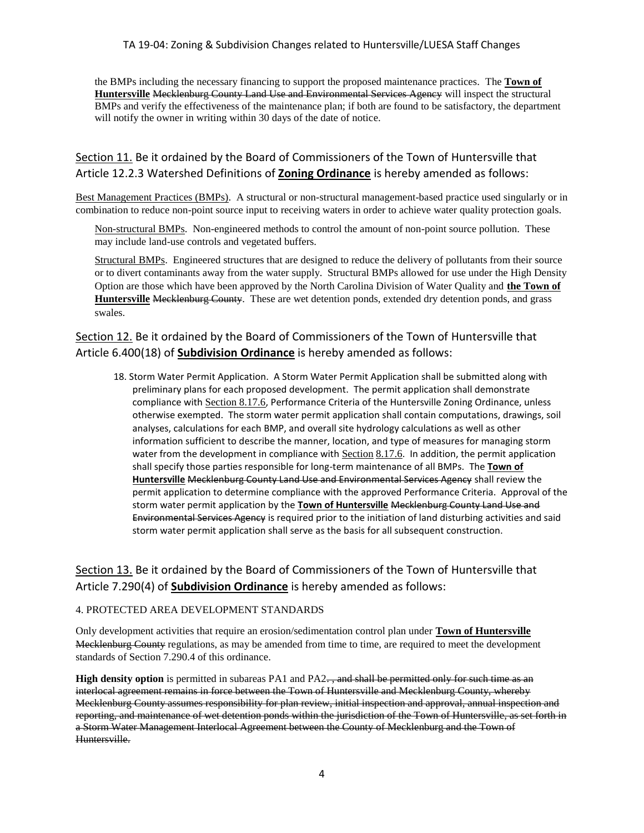the BMPs including the necessary financing to support the proposed maintenance practices. The **Town of Huntersville** Mecklenburg County Land Use and Environmental Services Agency will inspect the structural BMPs and verify the effectiveness of the maintenance plan; if both are found to be satisfactory, the department will notify the owner in writing within 30 days of the date of notice.

## Section 11. Be it ordained by the Board of Commissioners of the Town of Huntersville that Article 12.2.3 Watershed Definitions of **Zoning Ordinance** is hereby amended as follows:

Best Management Practices (BMPs). A structural or non-structural management-based practice used singularly or in combination to reduce non-point source input to receiving waters in order to achieve water quality protection goals.

Non-structural BMPs. Non-engineered methods to control the amount of non-point source pollution. These may include land-use controls and vegetated buffers.

Structural BMPs. Engineered structures that are designed to reduce the delivery of pollutants from their source or to divert contaminants away from the water supply. Structural BMPs allowed for use under the High Density Option are those which have been approved by the North Carolina Division of Water Quality and **the Town of Huntersville** Mecklenburg County. These are wet detention ponds, extended dry detention ponds, and grass swales.

## Section 12. Be it ordained by the Board of Commissioners of the Town of Huntersville that Article 6.400(18) of **Subdivision Ordinance** is hereby amended as follows:

18. Storm Water Permit Application. A Storm Water Permit Application shall be submitted along with preliminary plans for each proposed development. The permit application shall demonstrate compliance with [Section 8.17.6](http://www.huntersville.org/interactive%20ordinance/ZONING_TOCA8.html#8176), Performance Criteria of the Huntersville Zoning Ordinance, unless otherwise exempted. The storm water permit application shall contain computations, drawings, soil analyses, calculations for each BMP, and overall site hydrology calculations as well as other information sufficient to describe the manner, location, and type of measures for managing storm water from the development in compliance with [Section](http://www.huntersville.org/interactive%20ordinance/ZONING_TOCA8.html#8176) [8.17.6](http://www.huntersville.org/interactive%20ordinance/ZONING_TOCA8.html#8176). In addition, the permit application shall specify those parties responsible for long-term maintenance of all BMPs. The **Town of Huntersville** Mecklenburg County Land Use and Environmental Services Agency shall review the permit application to determine compliance with the approved Performance Criteria. Approval of the storm water permit application by the **Town of Huntersville** Mecklenburg County Land Use and Environmental Services Agency is required prior to the initiation of land disturbing activities and said storm water permit application shall serve as the basis for all subsequent construction.

## Section 13. Be it ordained by the Board of Commissioners of the Town of Huntersville that Article 7.290(4) of **Subdivision Ordinance** is hereby amended as follows:

#### 4. PROTECTED AREA DEVELOPMENT STANDARDS

Only development activities that require an erosion/sedimentation control plan under **Town of Huntersville** Mecklenburg County regulations, as may be amended from time to time, are required to meet the development standards of Section 7.290.4 of this ordinance.

**High density option** is permitted in subareas PA1 and PA2., and shall be permitted only for such time as an interlocal agreement remains in force between the Town of Huntersville and Mecklenburg County, whereby Mecklenburg County assumes responsibility for plan review, initial inspection and approval, annual inspection and reporting, and maintenance of wet detention ponds within the jurisdiction of the Town of Huntersville, as set forth in a Storm Water Management Interlocal Agreement between the County of Mecklenburg and the Town of Huntersville.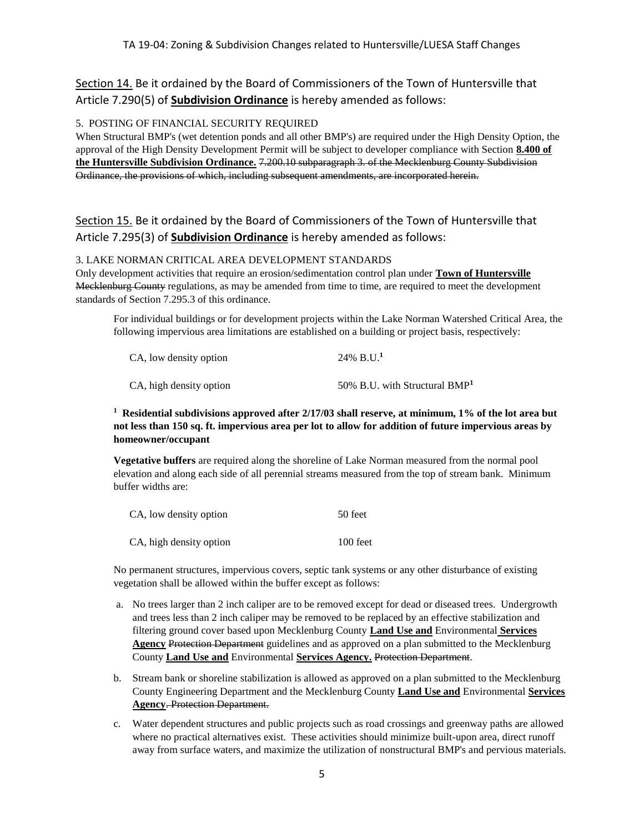Section 14. Be it ordained by the Board of Commissioners of the Town of Huntersville that Article 7.290(5) of **Subdivision Ordinance** is hereby amended as follows:

#### 5. POSTING OF FINANCIAL SECURITY REQUIRED

When Structural BMP's (wet detention ponds and all other BMP's) are required under the High Density Option, the approval of the High Density Development Permit will be subject to developer compliance with Section **8.400 of the Huntersville Subdivision Ordinance.** 7.200.10 subparagraph 3. of the Mecklenburg County Subdivision Ordinance, the provisions of which, including subsequent amendments, are incorporated herein.

## Section 15. Be it ordained by the Board of Commissioners of the Town of Huntersville that Article 7.295(3) of **Subdivision Ordinance** is hereby amended as follows:

#### 3. LAKE NORMAN CRITICAL AREA DEVELOPMENT STANDARDS

Only development activities that require an erosion/sedimentation control plan under **Town of Huntersville** Mecklenburg County regulations, as may be amended from time to time, are required to meet the development standards of Section 7.295.3 of this ordinance.

For individual buildings or for development projects within the Lake Norman Watershed Critical Area, the following impervious area limitations are established on a building or project basis, respectively:

| CA, low density option  | $24\%$ B.U. <sup>1</sup>        |
|-------------------------|---------------------------------|
| CA, high density option | 50% B.U. with Structural $BMP1$ |

#### **1 Residential subdivisions approved after 2/17/03 shall reserve, at minimum, 1% of the lot area but not less than 150 sq. ft. impervious area per lot to allow for addition of future impervious areas by homeowner/occupant**

**Vegetative buffers** are required along the shoreline of Lake Norman measured from the normal pool elevation and along each side of all perennial streams measured from the top of stream bank. Minimum buffer widths are:

| CA, low density option  | 50 feet    |
|-------------------------|------------|
| CA, high density option | $100$ feet |

No permanent structures, impervious covers, septic tank systems or any other disturbance of existing vegetation shall be allowed within the buffer except as follows:

- a. No trees larger than 2 inch caliper are to be removed except for dead or diseased trees. Undergrowth and trees less than 2 inch caliper may be removed to be replaced by an effective stabilization and filtering ground cover based upon Mecklenburg County **Land Use and** Environmental **Services Agency** Protection Department guidelines and as approved on a plan submitted to the Mecklenburg County **Land Use and** Environmental **Services Agency.** Protection Department.
- b. Stream bank or shoreline stabilization is allowed as approved on a plan submitted to the Mecklenburg County Engineering Department and the Mecklenburg County **Land Use and** Environmental **Services Agency**. Protection Department.
- c. Water dependent structures and public projects such as road crossings and greenway paths are allowed where no practical alternatives exist. These activities should minimize built-upon area, direct runoff away from surface waters, and maximize the utilization of nonstructural BMP's and pervious materials.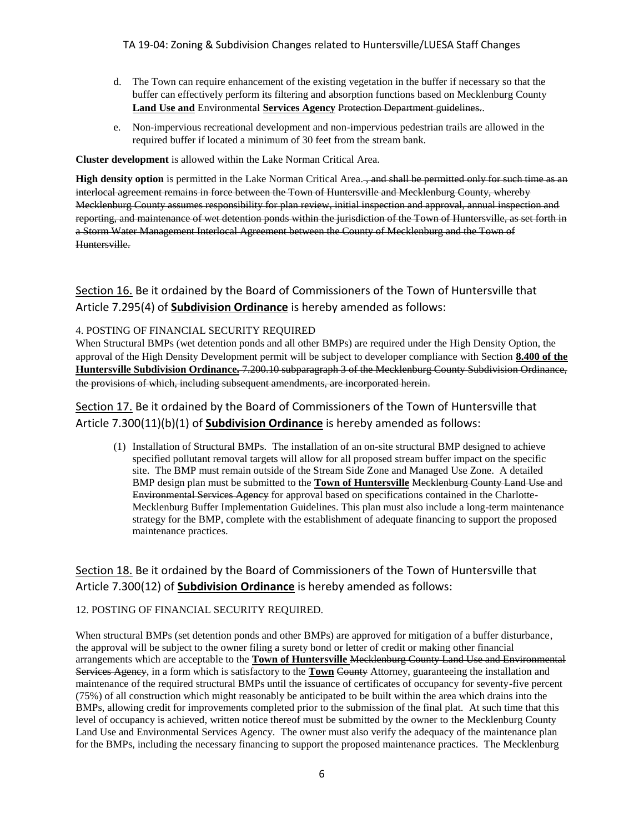- d. The Town can require enhancement of the existing vegetation in the buffer if necessary so that the buffer can effectively perform its filtering and absorption functions based on Mecklenburg County **Land Use and** Environmental **Services Agency** Protection Department guidelines..
- e. Non-impervious recreational development and non-impervious pedestrian trails are allowed in the required buffer if located a minimum of 30 feet from the stream bank.

**Cluster development** is allowed within the Lake Norman Critical Area.

**High density option** is permitted in the Lake Norman Critical Area., and shall be permitted only for such time as an interlocal agreement remains in force between the Town of Huntersville and Mecklenburg County, whereby Mecklenburg County assumes responsibility for plan review, initial inspection and approval, annual inspection and reporting, and maintenance of wet detention ponds within the jurisdiction of the Town of Huntersville, as set forth in a Storm Water Management Interlocal Agreement between the County of Mecklenburg and the Town of Huntersville.

Section 16. Be it ordained by the Board of Commissioners of the Town of Huntersville that Article 7.295(4) of **Subdivision Ordinance** is hereby amended as follows:

#### 4. POSTING OF FINANCIAL SECURITY REQUIRED

When Structural BMPs (wet detention ponds and all other BMPs) are required under the High Density Option, the approval of the High Density Development permit will be subject to developer compliance with Section **8.400 of the Huntersville Subdivision Ordinance.** 7.200.10 subparagraph 3 of the Mecklenburg County Subdivision Ordinance, the provisions of which, including subsequent amendments, are incorporated herein.

Section 17. Be it ordained by the Board of Commissioners of the Town of Huntersville that Article 7.300(11)(b)(1) of **Subdivision Ordinance** is hereby amended as follows:

(1) Installation of Structural BMPs. The installation of an on-site structural BMP designed to achieve specified pollutant removal targets will allow for all proposed stream buffer impact on the specific site. The BMP must remain outside of the Stream Side Zone and Managed Use Zone. A detailed BMP design plan must be submitted to the **Town of Huntersville** Mecklenburg County Land Use and Environmental Services Agency for approval based on specifications contained in the Charlotte-Mecklenburg Buffer Implementation Guidelines. This plan must also include a long-term maintenance strategy for the BMP, complete with the establishment of adequate financing to support the proposed maintenance practices.

## Section 18. Be it ordained by the Board of Commissioners of the Town of Huntersville that Article 7.300(12) of **Subdivision Ordinance** is hereby amended as follows:

#### 12. POSTING OF FINANCIAL SECURITY REQUIRED.

When structural BMPs (set detention ponds and other BMPs) are approved for mitigation of a buffer disturbance, the approval will be subject to the owner filing a surety bond or letter of credit or making other financial arrangements which are acceptable to the **Town of Huntersville** Mecklenburg County Land Use and Environmental Services Agency, in a form which is satisfactory to the **Town** County Attorney, guaranteeing the installation and maintenance of the required structural BMPs until the issuance of certificates of occupancy for seventy-five percent (75%) of all construction which might reasonably be anticipated to be built within the area which drains into the BMPs, allowing credit for improvements completed prior to the submission of the final plat. At such time that this level of occupancy is achieved, written notice thereof must be submitted by the owner to the Mecklenburg County Land Use and Environmental Services Agency. The owner must also verify the adequacy of the maintenance plan for the BMPs, including the necessary financing to support the proposed maintenance practices. The Mecklenburg